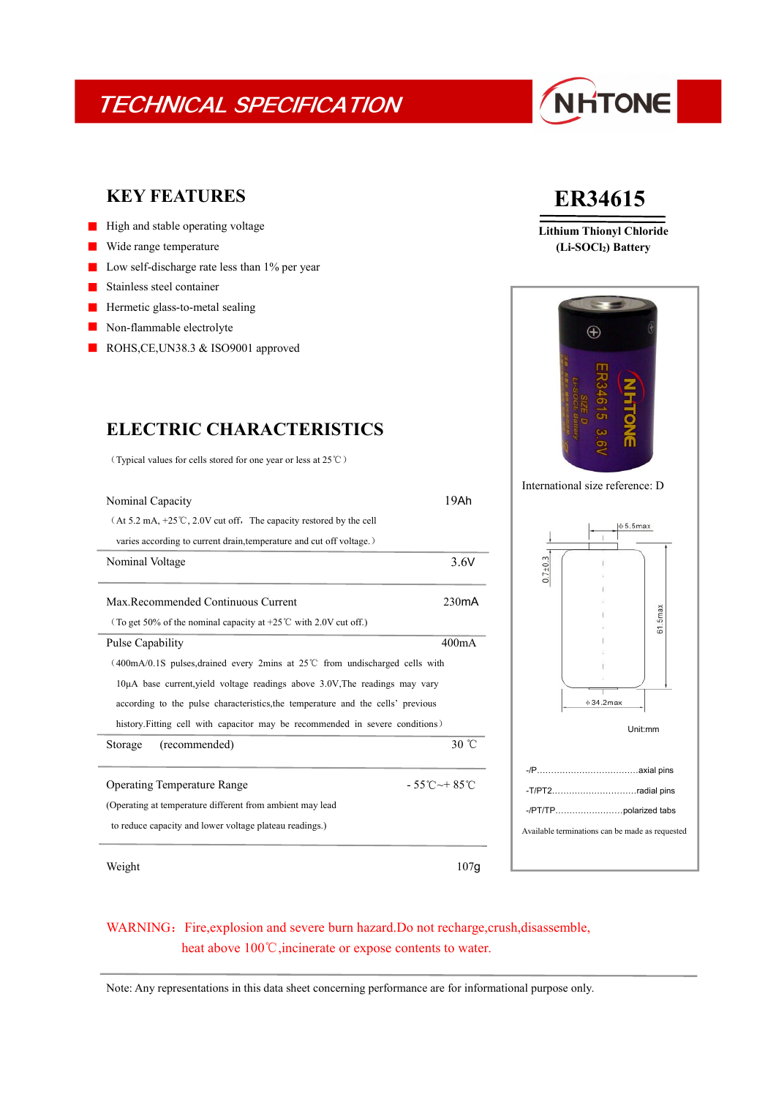## TECHNICAL SPECIFICATION

# NHTONE

### **KEY FEATURES**

- $\blacksquare$  High and stable operating voltage
- Wide range temperature  $\blacksquare$
- Low self-discharge rate less than 1% per year
- Stainless steel container
- Hermetic glass-to-metal sealing  $\blacksquare$
- $\mathcal{L}_{\mathcal{A}}$ Non-flammable electrolyte
- ROHS, CE, UN38.3 & ISO 9001 approved

### **ELECTRIC CHARACTERISTICS**

(Typical values for cells stored for one year or less at 25℃)

| Nominal Capacity                                                                    | 19Ah                             |                                                 |                   |            |  |
|-------------------------------------------------------------------------------------|----------------------------------|-------------------------------------------------|-------------------|------------|--|
| $(At 5.2 mA, +25°C, 2.0V cut off, The capacity restored by the cell)$               |                                  |                                                 | $ \phi 5.5$ max   |            |  |
| varies according to current drain, temperature and cut off voltage.)                |                                  |                                                 |                   |            |  |
| Nominal Voltage                                                                     | 3.6V                             | $0.7{\pm}0.3$                                   |                   |            |  |
|                                                                                     |                                  |                                                 |                   |            |  |
| Max.Recommended Continuous Current                                                  | 230mA                            |                                                 |                   |            |  |
| (To get 50% of the nominal capacity at +25 $\degree$ C with 2.0V cut off.)          |                                  |                                                 |                   | $61.5$ max |  |
| <b>Pulse Capability</b>                                                             | 400mA                            |                                                 |                   |            |  |
| $(400mA/0.1S$ pulses, drained every 2mins at 25°C from undischarged cells with      |                                  |                                                 |                   |            |  |
| $10\mu$ A base current, yield voltage readings above $3.0V$ . The readings may vary |                                  |                                                 |                   |            |  |
| according to the pulse characteristics, the temperature and the cells' previous     |                                  |                                                 | $\phi$ 34.2max    |            |  |
| history. Fitting cell with capacitor may be recommended in severe conditions)       |                                  | Unit:mm                                         |                   |            |  |
| (recommended)<br>Storage                                                            | 30 °C                            |                                                 |                   |            |  |
|                                                                                     |                                  |                                                 |                   |            |  |
| <b>Operating Temperature Range</b>                                                  | $-55^{\circ}$ C $-+85^{\circ}$ C |                                                 | -T/PT2radial pins |            |  |
| (Operating at temperature different from ambient may lead)                          |                                  | Available terminations can be made as requested |                   |            |  |
| to reduce capacity and lower voltage plateau readings.)                             |                                  |                                                 |                   |            |  |
| Weight                                                                              | 107g                             |                                                 |                   |            |  |

## **ER34615**

**Lithium Thionyl Chloride (Li-SOCl2) Battery**



International size reference: D



### WARNING: Fire, explosion and severe burn hazard.Do not recharge, crush, disassemble, heat above 100℃, incinerate or expose contents to water.

Note: Any representations in this data sheet concerning performance are for informational purpose only.